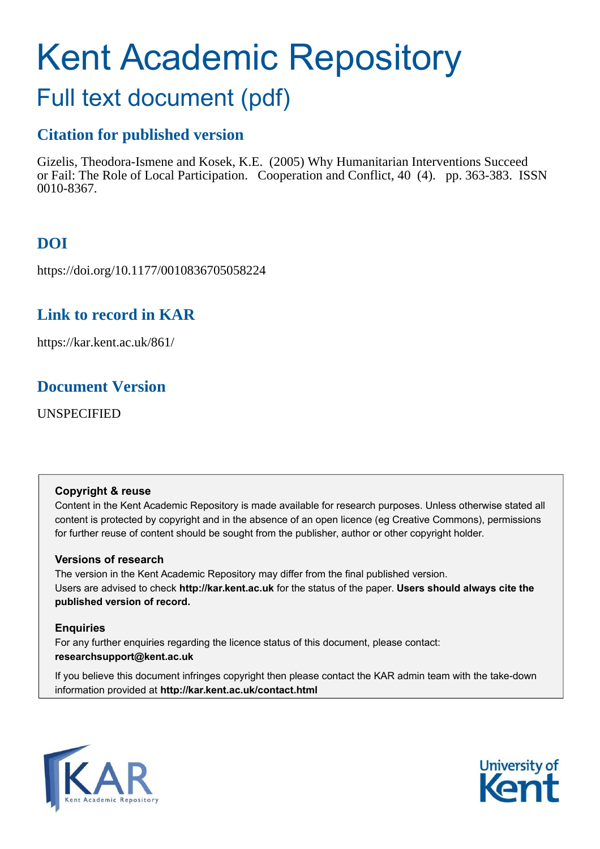# Kent Academic Repository

## Full text document (pdf)

## **Citation for published version**

Gizelis, Theodora-Ismene and Kosek, K.E. (2005) Why Humanitarian Interventions Succeed or Fail: The Role of Local Participation. Cooperation and Conflict, 40 (4). pp. 363-383. ISSN 0010-8367.

## **DOI**

https://doi.org/10.1177/0010836705058224

## **Link to record in KAR**

https://kar.kent.ac.uk/861/

## **Document Version**

UNSPECIFIED

#### **Copyright & reuse**

Content in the Kent Academic Repository is made available for research purposes. Unless otherwise stated all content is protected by copyright and in the absence of an open licence (eg Creative Commons), permissions for further reuse of content should be sought from the publisher, author or other copyright holder.

#### **Versions of research**

The version in the Kent Academic Repository may differ from the final published version. Users are advised to check **http://kar.kent.ac.uk** for the status of the paper. **Users should always cite the published version of record.**

#### **Enquiries**

For any further enquiries regarding the licence status of this document, please contact: **researchsupport@kent.ac.uk**

If you believe this document infringes copyright then please contact the KAR admin team with the take-down information provided at **http://kar.kent.ac.uk/contact.html**



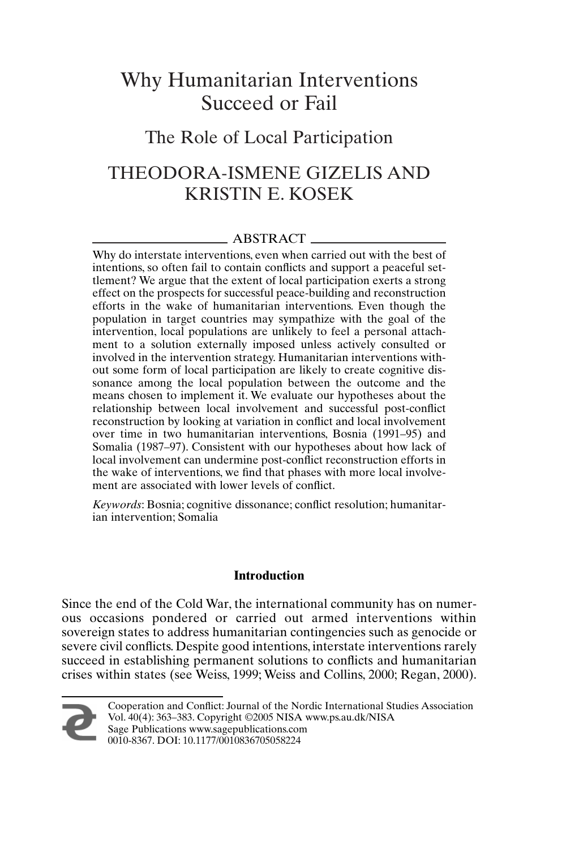## Why Humanitarian Interventions Succeed or Fail

### The Role of Local Participation

## THEODORA-ISMENE GIZELIS AND KRISTIN E. KOSEK

#### ABSTRACT

Why do interstate interventions, even when carried out with the best of intentions, so often fail to contain conflicts and support a peaceful settlement? We argue that the extent of local participation exerts a strong effect on the prospects for successful peace-building and reconstruction efforts in the wake of humanitarian interventions. Even though the population in target countries may sympathize with the goal of the intervention, local populations are unlikely to feel a personal attachment to a solution externally imposed unless actively consulted or involved in the intervention strategy. Humanitarian interventions without some form of local participation are likely to create cognitive dissonance among the local population between the outcome and the means chosen to implement it. We evaluate our hypotheses about the relationship between local involvement and successful post-conflict reconstruction by looking at variation in conflict and local involvement over time in two humanitarian interventions, Bosnia (1991–95) and Somalia (1987–97). Consistent with our hypotheses about how lack of local involvement can undermine post-conflict reconstruction efforts in the wake of interventions, we find that phases with more local involvement are associated with lower levels of conflict.

*Keywords*: Bosnia; cognitive dissonance; conflict resolution; humanitarian intervention; Somalia

#### **Introduction**

Since the end of the Cold War, the international community has on numerous occasions pondered or carried out armed interventions within sovereign states to address humanitarian contingencies such as genocide or severe civil conflicts. Despite good intentions, interstate interventions rarely succeed in establishing permanent solutions to conflicts and humanitarian crises within states (see Weiss, 1999; Weiss and Collins, 2000; Regan, 2000).



Cooperation and Conflict: Journal of the Nordic International Studies Association Vol. 40(4): 363–383. Copyright ©2005 NISA www.ps.au.dk/NISA

Sage Publications www.sagepublications.com 0010-8367. DOI: 10.1177/0010836705058224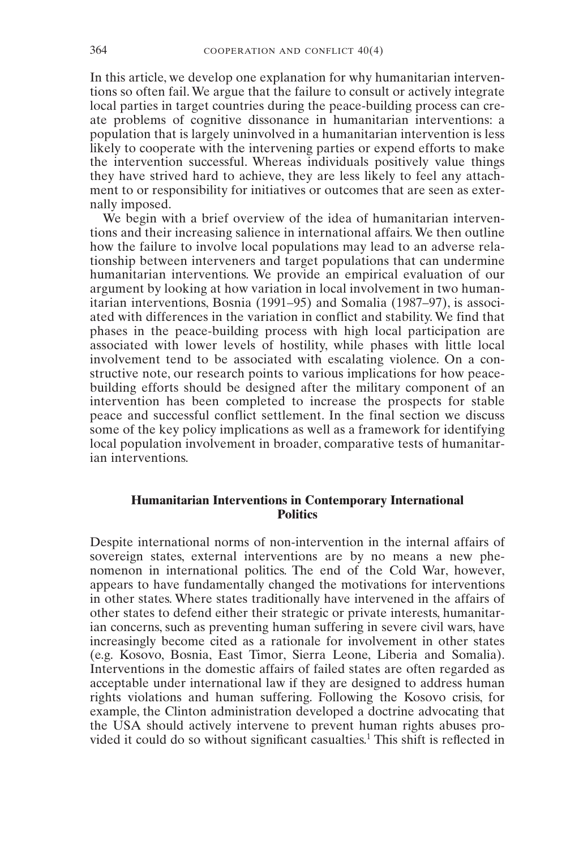In this article, we develop one explanation for why humanitarian interventions so often fail. We argue that the failure to consult or actively integrate local parties in target countries during the peace-building process can create problems of cognitive dissonance in humanitarian interventions: a population that is largely uninvolved in a humanitarian intervention is less likely to cooperate with the intervening parties or expend efforts to make the intervention successful. Whereas individuals positively value things they have strived hard to achieve, they are less likely to feel any attachment to or responsibility for initiatives or outcomes that are seen as externally imposed.

We begin with a brief overview of the idea of humanitarian interventions and their increasing salience in international affairs. We then outline how the failure to involve local populations may lead to an adverse relationship between interveners and target populations that can undermine humanitarian interventions. We provide an empirical evaluation of our argument by looking at how variation in local involvement in two humanitarian interventions, Bosnia (1991–95) and Somalia (1987–97), is associated with differences in the variation in conflict and stability. We find that phases in the peace-building process with high local participation are associated with lower levels of hostility, while phases with little local involvement tend to be associated with escalating violence. On a constructive note, our research points to various implications for how peacebuilding efforts should be designed after the military component of an intervention has been completed to increase the prospects for stable peace and successful conflict settlement. In the final section we discuss some of the key policy implications as well as a framework for identifying local population involvement in broader, comparative tests of humanitarian interventions.

#### **Humanitarian Interventions in Contemporary International Politics**

Despite international norms of non-intervention in the internal affairs of sovereign states, external interventions are by no means a new phenomenon in international politics. The end of the Cold War, however, appears to have fundamentally changed the motivations for interventions in other states. Where states traditionally have intervened in the affairs of other states to defend either their strategic or private interests, humanitarian concerns, such as preventing human suffering in severe civil wars, have increasingly become cited as a rationale for involvement in other states (e.g. Kosovo, Bosnia, East Timor, Sierra Leone, Liberia and Somalia). Interventions in the domestic affairs of failed states are often regarded as acceptable under international law if they are designed to address human rights violations and human suffering. Following the Kosovo crisis, for example, the Clinton administration developed a doctrine advocating that the USA should actively intervene to prevent human rights abuses provided it could do so without significant casualties.<sup>1</sup> This shift is reflected in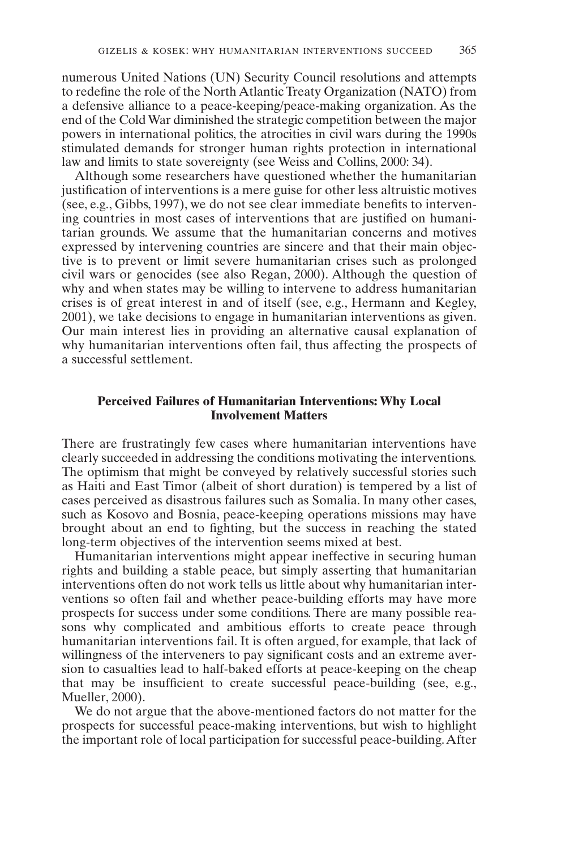numerous United Nations (UN) Security Council resolutions and attempts to redefine the role of the North Atlantic Treaty Organization (NATO) from a defensive alliance to a peace-keeping/peace-making organization. As the end of the Cold War diminished the strategic competition between the major powers in international politics, the atrocities in civil wars during the 1990s stimulated demands for stronger human rights protection in international law and limits to state sovereignty (see Weiss and Collins, 2000: 34).

Although some researchers have questioned whether the humanitarian justification of interventions is a mere guise for other less altruistic motives (see, e.g., Gibbs, 1997), we do not see clear immediate benefits to intervening countries in most cases of interventions that are justified on humanitarian grounds. We assume that the humanitarian concerns and motives expressed by intervening countries are sincere and that their main objective is to prevent or limit severe humanitarian crises such as prolonged civil wars or genocides (see also Regan, 2000). Although the question of why and when states may be willing to intervene to address humanitarian crises is of great interest in and of itself (see, e.g., Hermann and Kegley, 2001), we take decisions to engage in humanitarian interventions as given. Our main interest lies in providing an alternative causal explanation of why humanitarian interventions often fail, thus affecting the prospects of a successful settlement.

#### **Perceived Failures of Humanitarian Interventions: Why Local Involvement Matters**

There are frustratingly few cases where humanitarian interventions have clearly succeeded in addressing the conditions motivating the interventions. The optimism that might be conveyed by relatively successful stories such as Haiti and East Timor (albeit of short duration) is tempered by a list of cases perceived as disastrous failures such as Somalia. In many other cases, such as Kosovo and Bosnia, peace-keeping operations missions may have brought about an end to fighting, but the success in reaching the stated long-term objectives of the intervention seems mixed at best.

Humanitarian interventions might appear ineffective in securing human rights and building a stable peace, but simply asserting that humanitarian interventions often do not work tells us little about why humanitarian interventions so often fail and whether peace-building efforts may have more prospects for success under some conditions. There are many possible reasons why complicated and ambitious efforts to create peace through humanitarian interventions fail. It is often argued, for example, that lack of willingness of the interveners to pay significant costs and an extreme aversion to casualties lead to half-baked efforts at peace-keeping on the cheap that may be insufficient to create successful peace-building (see, e.g., Mueller, 2000).

We do not argue that the above-mentioned factors do not matter for the prospects for successful peace-making interventions, but wish to highlight the important role of local participation for successful peace-building.After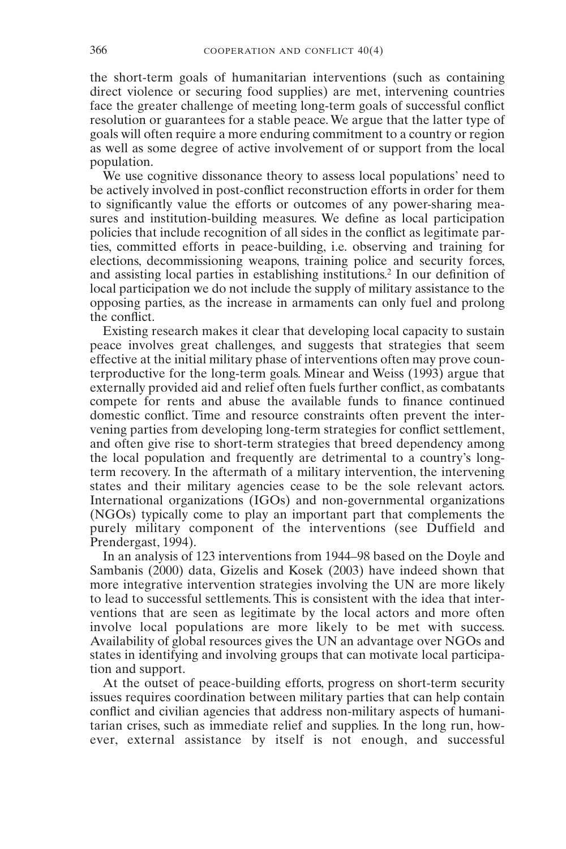the short-term goals of humanitarian interventions (such as containing direct violence or securing food supplies) are met, intervening countries face the greater challenge of meeting long-term goals of successful conflict resolution or guarantees for a stable peace. We argue that the latter type of goals will often require a more enduring commitment to a country or region as well as some degree of active involvement of or support from the local population.

We use cognitive dissonance theory to assess local populations' need to be actively involved in post-conflict reconstruction efforts in order for them to significantly value the efforts or outcomes of any power-sharing measures and institution-building measures. We define as local participation policies that include recognition of all sides in the conflict as legitimate parties, committed efforts in peace-building, i.e. observing and training for elections, decommissioning weapons, training police and security forces, and assisting local parties in establishing institutions.<sup>2</sup> In our definition of local participation we do not include the supply of military assistance to the opposing parties, as the increase in armaments can only fuel and prolong the conflict.

Existing research makes it clear that developing local capacity to sustain peace involves great challenges, and suggests that strategies that seem effective at the initial military phase of interventions often may prove counterproductive for the long-term goals. Minear and Weiss (1993) argue that externally provided aid and relief often fuels further conflict, as combatants compete for rents and abuse the available funds to finance continued domestic conflict. Time and resource constraints often prevent the intervening parties from developing long-term strategies for conflict settlement, and often give rise to short-term strategies that breed dependency among the local population and frequently are detrimental to a country's longterm recovery. In the aftermath of a military intervention, the intervening states and their military agencies cease to be the sole relevant actors. International organizations (IGOs) and non-governmental organizations (NGOs) typically come to play an important part that complements the purely military component of the interventions (see Duffield and Prendergast, 1994).

In an analysis of 123 interventions from 1944–98 based on the Doyle and Sambanis (2000) data, Gizelis and Kosek (2003) have indeed shown that more integrative intervention strategies involving the UN are more likely to lead to successful settlements. This is consistent with the idea that interventions that are seen as legitimate by the local actors and more often involve local populations are more likely to be met with success. Availability of global resources gives the UN an advantage over NGOs and states in identifying and involving groups that can motivate local participation and support.

At the outset of peace-building efforts, progress on short-term security issues requires coordination between military parties that can help contain conflict and civilian agencies that address non-military aspects of humanitarian crises, such as immediate relief and supplies. In the long run, however, external assistance by itself is not enough, and successful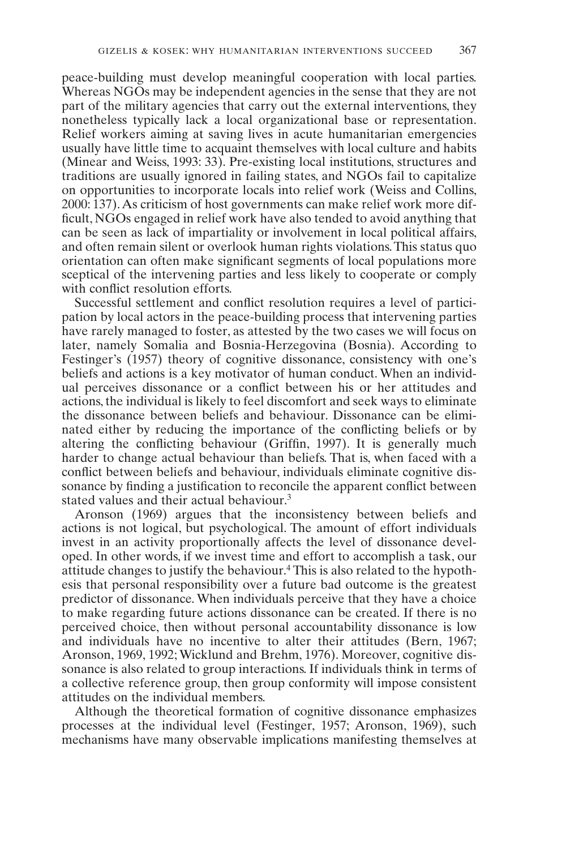peace-building must develop meaningful cooperation with local parties. Whereas NGOs may be independent agencies in the sense that they are not part of the military agencies that carry out the external interventions, they nonetheless typically lack a local organizational base or representation. Relief workers aiming at saving lives in acute humanitarian emergencies usually have little time to acquaint themselves with local culture and habits (Minear and Weiss, 1993: 33). Pre-existing local institutions, structures and traditions are usually ignored in failing states, and NGOs fail to capitalize on opportunities to incorporate locals into relief work (Weiss and Collins, 2000: 137).As criticism of host governments can make relief work more difficult, NGOs engaged in relief work have also tended to avoid anything that can be seen as lack of impartiality or involvement in local political affairs, and often remain silent or overlook human rights violations.This status quo orientation can often make significant segments of local populations more sceptical of the intervening parties and less likely to cooperate or comply with conflict resolution efforts.

Successful settlement and conflict resolution requires a level of participation by local actors in the peace-building process that intervening parties have rarely managed to foster, as attested by the two cases we will focus on later, namely Somalia and Bosnia-Herzegovina (Bosnia). According to Festinger's (1957) theory of cognitive dissonance, consistency with one's beliefs and actions is a key motivator of human conduct. When an individual perceives dissonance or a conflict between his or her attitudes and actions,the individual is likely to feel discomfort and seek ways to eliminate the dissonance between beliefs and behaviour. Dissonance can be eliminated either by reducing the importance of the conflicting beliefs or by altering the conflicting behaviour (Griffin, 1997). It is generally much harder to change actual behaviour than beliefs. That is, when faced with a conflict between beliefs and behaviour, individuals eliminate cognitive dissonance by finding a justification to reconcile the apparent conflict between stated values and their actual behaviour.<sup>3</sup>

Aronson (1969) argues that the inconsistency between beliefs and actions is not logical, but psychological. The amount of effort individuals invest in an activity proportionally affects the level of dissonance developed. In other words, if we invest time and effort to accomplish a task, our attitude changes to justify the behaviour.<sup>4</sup> This is also related to the hypothesis that personal responsibility over a future bad outcome is the greatest predictor of dissonance. When individuals perceive that they have a choice to make regarding future actions dissonance can be created. If there is no perceived choice, then without personal accountability dissonance is low and individuals have no incentive to alter their attitudes (Bern, 1967; Aronson, 1969, 1992; Wicklund and Brehm, 1976). Moreover, cognitive dissonance is also related to group interactions. If individuals think in terms of a collective reference group, then group conformity will impose consistent attitudes on the individual members.

Although the theoretical formation of cognitive dissonance emphasizes processes at the individual level (Festinger, 1957; Aronson, 1969), such mechanisms have many observable implications manifesting themselves at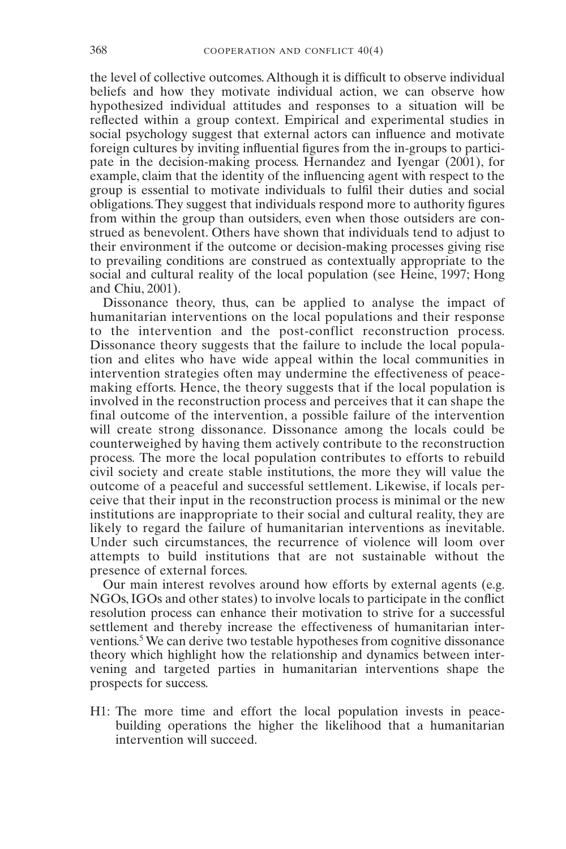the level of collective outcomes. Although it is difficult to observe individual beliefs and how they motivate individual action, we can observe how hypothesized individual attitudes and responses to a situation will be reflected within a group context. Empirical and experimental studies in social psychology suggest that external actors can influence and motivate foreign cultures by inviting influential figures from the in-groups to participate in the decision-making process. Hernandez and Iyengar (2001), for example, claim that the identity of the influencing agent with respect to the group is essential to motivate individuals to fulfil their duties and social obligations. They suggest that individuals respond more to authority figures from within the group than outsiders, even when those outsiders are construed as benevolent. Others have shown that individuals tend to adjust to their environment if the outcome or decision-making processes giving rise to prevailing conditions are construed as contextually appropriate to the social and cultural reality of the local population (see Heine, 1997; Hong and Chiu, 2001).

Dissonance theory, thus, can be applied to analyse the impact of humanitarian interventions on the local populations and their response to the intervention and the post-conflict reconstruction process. Dissonance theory suggests that the failure to include the local population and elites who have wide appeal within the local communities in intervention strategies often may undermine the effectiveness of peacemaking efforts. Hence, the theory suggests that if the local population is involved in the reconstruction process and perceives that it can shape the final outcome of the intervention, a possible failure of the intervention will create strong dissonance. Dissonance among the locals could be counterweighed by having them actively contribute to the reconstruction process*.* The more the local population contributes to efforts to rebuild civil society and create stable institutions, the more they will value the outcome of a peaceful and successful settlement. Likewise, if locals perceive that their input in the reconstruction process is minimal or the new institutions are inappropriate to their social and cultural reality, they are likely to regard the failure of humanitarian interventions as inevitable. Under such circumstances, the recurrence of violence will loom over attempts to build institutions that are not sustainable without the presence of external forces.

Our main interest revolves around how efforts by external agents (e.g. NGOs,IGOs and other states) to involve locals to participate in the conflict resolution process can enhance their motivation to strive for a successful settlement and thereby increase the effectiveness of humanitarian interventions.<sup>5</sup> We can derive two testable hypotheses from cognitive dissonance theory which highlight how the relationship and dynamics between intervening and targeted parties in humanitarian interventions shape the prospects for success.

H1: The more time and effort the local population invests in peacebuilding operations the higher the likelihood that a humanitarian intervention will succeed.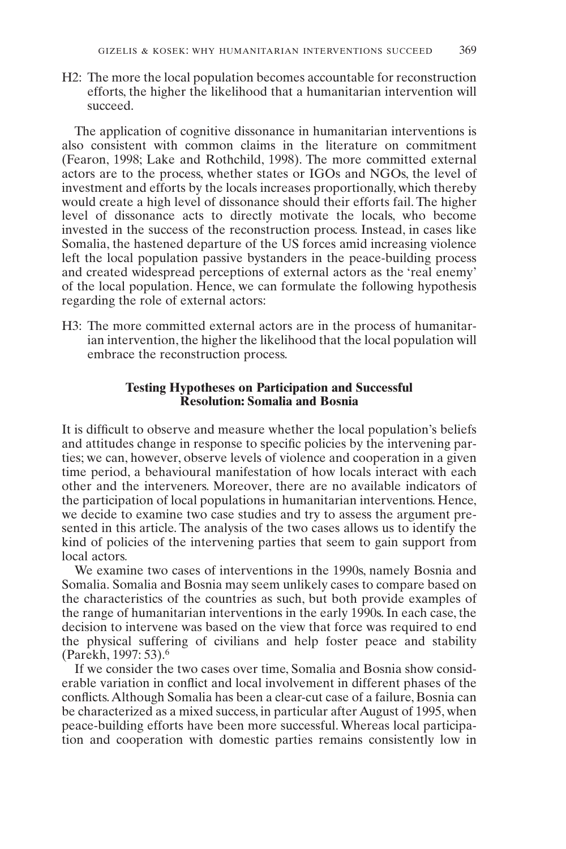H2: The more the local population becomes accountable for reconstruction efforts, the higher the likelihood that a humanitarian intervention will succeed.

The application of cognitive dissonance in humanitarian interventions is also consistent with common claims in the literature on commitment (Fearon, 1998; Lake and Rothchild, 1998). The more committed external actors are to the process, whether states or IGOs and NGOs, the level of investment and efforts by the locals increases proportionally, which thereby would create a high level of dissonance should their efforts fail. The higher level of dissonance acts to directly motivate the locals, who become invested in the success of the reconstruction process. Instead, in cases like Somalia, the hastened departure of the US forces amid increasing violence left the local population passive bystanders in the peace-building process and created widespread perceptions of external actors as the 'real enemy' of the local population. Hence, we can formulate the following hypothesis regarding the role of external actors:

H3: The more committed external actors are in the process of humanitarian intervention, the higher the likelihood that the local population will embrace the reconstruction process.

#### **Testing Hypotheses on Participation and Successful Resolution: Somalia and Bosnia**

It is difficult to observe and measure whether the local population's beliefs and attitudes change in response to specific policies by the intervening parties; we can, however, observe levels of violence and cooperation in a given time period, a behavioural manifestation of how locals interact with each other and the interveners. Moreover, there are no available indicators of the participation of local populations in humanitarian interventions. Hence, we decide to examine two case studies and try to assess the argument presented in this article. The analysis of the two cases allows us to identify the kind of policies of the intervening parties that seem to gain support from local actors*.*

We examine two cases of interventions in the 1990s, namely Bosnia and Somalia. Somalia and Bosnia may seem unlikely cases to compare based on the characteristics of the countries as such, but both provide examples of the range of humanitarian interventions in the early 1990s. In each case, the decision to intervene was based on the view that force was required to end the physical suffering of civilians and help foster peace and stability (Parekh, 1997: 53).<sup>6</sup>

If we consider the two cases over time, Somalia and Bosnia show considerable variation in conflict and local involvement in different phases of the conflicts.Although Somalia has been a clear-cut case of a failure, Bosnia can be characterized as a mixed success, in particular after August of 1995, when peace-building efforts have been more successful. Whereas local participation and cooperation with domestic parties remains consistently low in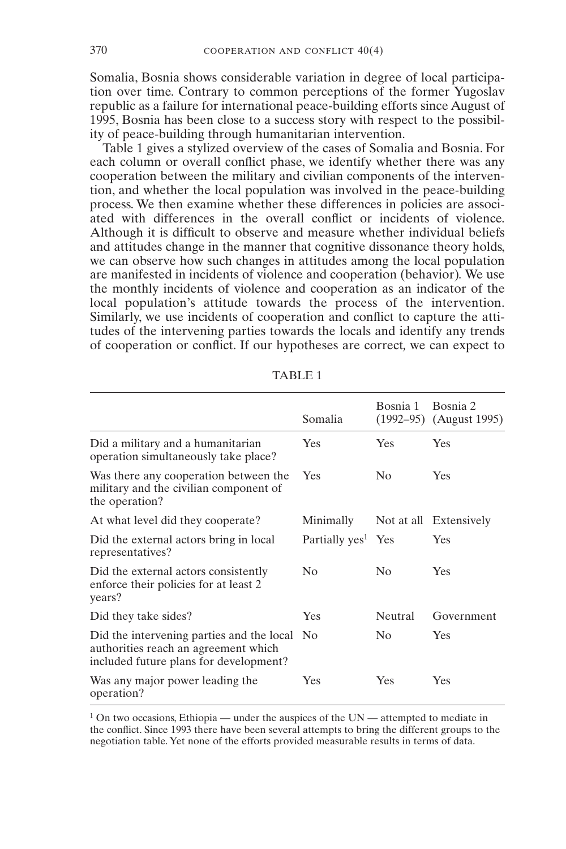Somalia, Bosnia shows considerable variation in degree of local participation over time. Contrary to common perceptions of the former Yugoslav republic as a failure for international peace-building efforts since August of 1995, Bosnia has been close to a success story with respect to the possibility of peace-building through humanitarian intervention.

Table 1 gives a stylized overview of the cases of Somalia and Bosnia. For each column or overall conflict phase, we identify whether there was any cooperation between the military and civilian components of the intervention, and whether the local population was involved in the peace-building process. We then examine whether these differences in policies are associated with differences in the overall conflict or incidents of violence. Although it is difficult to observe and measure whether individual beliefs and attitudes change in the manner that cognitive dissonance theory holds, we can observe how such changes in attitudes among the local population are manifested in incidents of violence and cooperation (behavior)*.* We use the monthly incidents of violence and cooperation as an indicator of the local population's attitude towards the process of the intervention. Similarly, we use incidents of cooperation and conflict to capture the attitudes of the intervening parties towards the locals and identify any trends of cooperation or conflict. If our hypotheses are correct*,* we can expect to

|                                                                                                                                | Somalia                        | Bosnia 1           | Bosnia 2<br>$(1992-95)$ (August 1995) |
|--------------------------------------------------------------------------------------------------------------------------------|--------------------------------|--------------------|---------------------------------------|
| Did a military and a humanitarian<br>operation simultaneously take place?                                                      | Yes                            | <b>Yes</b>         | Yes                                   |
| Was there any cooperation between the<br>military and the civilian component of<br>the operation?                              | Yes                            | $\overline{N}_{0}$ | Yes                                   |
| At what level did they cooperate?                                                                                              | Minimally                      |                    | Not at all Extensively                |
| Did the external actors bring in local<br>representatives?                                                                     | Partially yes <sup>1</sup> Yes |                    | Yes                                   |
| Did the external actors consistently<br>enforce their policies for at least 2<br>years?                                        | N <sub>0</sub>                 | N <sub>0</sub>     | Yes                                   |
| Did they take sides?                                                                                                           | Yes                            | Neutral            | Government                            |
| Did the intervening parties and the local No<br>authorities reach an agreement which<br>included future plans for development? |                                | No                 | Yes                                   |
| Was any major power leading the<br>operation?                                                                                  | Yes                            | <b>Yes</b>         | Yes                                   |

TABLE 1

 $1$  On two occasions, Ethiopia — under the auspices of the UN — attempted to mediate in the conflict. Since 1993 there have been several attempts to bring the different groups to the negotiation table. Yet none of the efforts provided measurable results in terms of data.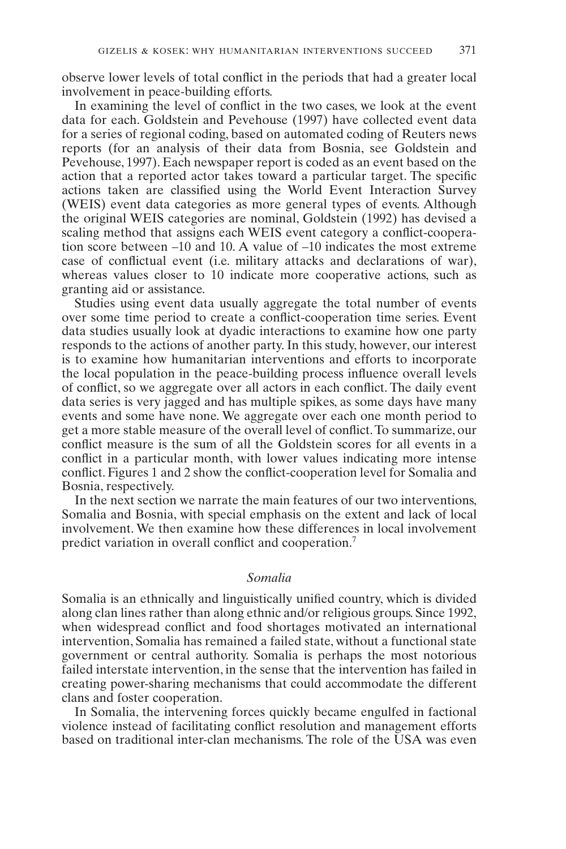observe lower levels of total conflict in the periods that had a greater local involvement in peace-building efforts.

In examining the level of conflict in the two cases, we look at the event data for each. Goldstein and Pevehouse (1997) have collected event data for a series of regional coding, based on automated coding of Reuters news reports (for an analysis of their data from Bosnia, see Goldstein and Pevehouse, 1997). Each newspaper report is coded as an event based on the action that a reported actor takes toward a particular target. The specific actions taken are classified using the World Event Interaction Survey (WEIS) event data categories as more general types of events. Although the original WEIS categories are nominal, Goldstein (1992) has devised a scaling method that assigns each WEIS event category a conflict-cooperation score between  $-10$  and 10. A value of  $-10$  indicates the most extreme case of conflictual event (i.e. military attacks and declarations of war), whereas values closer to 10 indicate more cooperative actions, such as granting aid or assistance.

Studies using event data usually aggregate the total number of events over some time period to create a conflict-cooperation time series. Event data studies usually look at dyadic interactions to examine how one party responds to the actions of another party. In this study, however, our interest is to examine how humanitarian interventions and efforts to incorporate the local population in the peace-building process influence overall levels of conflict, so we aggregate over all actors in each conflict. The daily event data series is very jagged and has multiple spikes, as some days have many events and some have none. We aggregate over each one month period to get a more stable measure of the overall level of conflict.To summarize, our conflict measure is the sum of all the Goldstein scores for all events in a conflict in a particular month, with lower values indicating more intense conflict. Figures 1 and 2 show the conflict-cooperation level for Somalia and Bosnia, respectively.

In the next section we narrate the main features of our two interventions, Somalia and Bosnia, with special emphasis on the extent and lack of local involvement. We then examine how these differences in local involvement predict variation in overall conflict and cooperation.<sup>7</sup>

#### *Somalia*

Somalia is an ethnically and linguistically unified country, which is divided along clan lines rather than along ethnic and/or religious groups. Since 1992, when widespread conflict and food shortages motivated an international intervention, Somalia has remained a failed state, without a functional state government or central authority. Somalia is perhaps the most notorious failed interstate intervention, in the sense that the intervention has failed in creating power-sharing mechanisms that could accommodate the different clans and foster cooperation.

In Somalia, the intervening forces quickly became engulfed in factional violence instead of facilitating conflict resolution and management efforts based on traditional inter-clan mechanisms. The role of the USA was even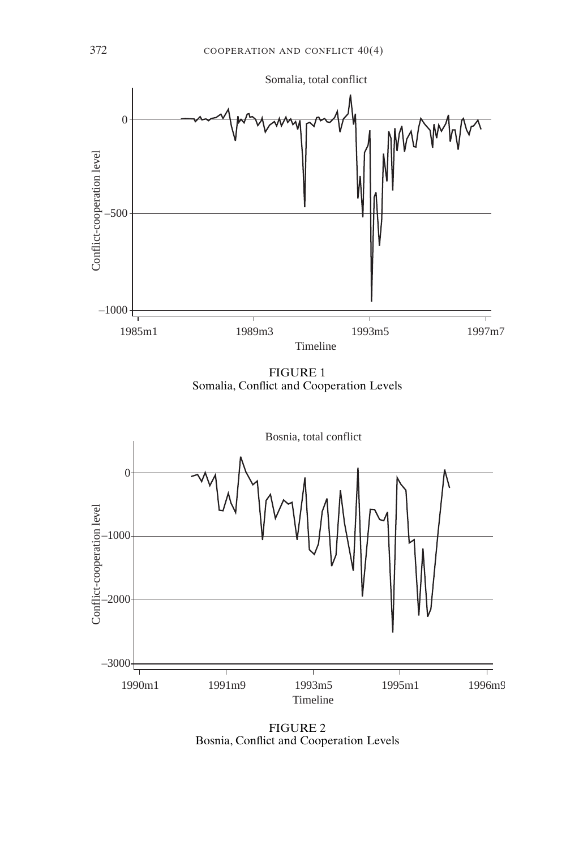

FIGURE 1 Somalia, Conflict and Cooperation Levels



FIGURE 2 Bosnia, Conflict and Cooperation Levels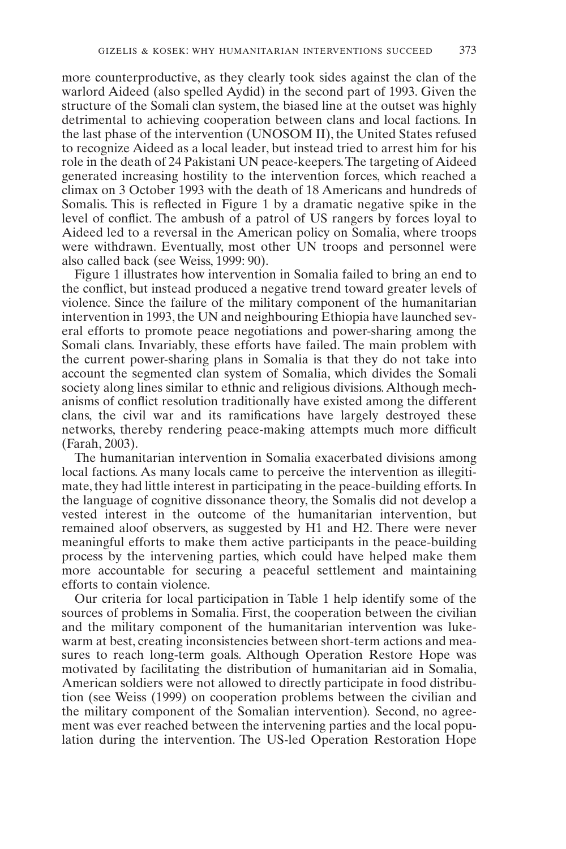more counterproductive, as they clearly took sides against the clan of the warlord Aideed (also spelled Aydid) in the second part of 1993. Given the structure of the Somali clan system, the biased line at the outset was highly detrimental to achieving cooperation between clans and local factions. In the last phase of the intervention (UNOSOM II), the United States refused to recognize Aideed as a local leader, but instead tried to arrest him for his role in the death of 24 Pakistani UN peace-keepers.The targeting of Aideed generated increasing hostility to the intervention forces, which reached a climax on 3 October 1993 with the death of 18 Americans and hundreds of Somalis. This is reflected in Figure 1 by a dramatic negative spike in the level of conflict. The ambush of a patrol of US rangers by forces loyal to Aideed led to a reversal in the American policy on Somalia, where troops were withdrawn. Eventually, most other UN troops and personnel were also called back (see Weiss, 1999: 90).

Figure 1 illustrates how intervention in Somalia failed to bring an end to the conflict, but instead produced a negative trend toward greater levels of violence. Since the failure of the military component of the humanitarian intervention in 1993, the UN and neighbouring Ethiopia have launched several efforts to promote peace negotiations and power-sharing among the Somali clans. Invariably, these efforts have failed. The main problem with the current power-sharing plans in Somalia is that they do not take into account the segmented clan system of Somalia, which divides the Somali society along lines similar to ethnic and religious divisions. Although mechanisms of conflict resolution traditionally have existed among the different clans, the civil war and its ramifications have largely destroyed these networks, thereby rendering peace-making attempts much more difficult (Farah, 2003).

The humanitarian intervention in Somalia exacerbated divisions among local factions. As many locals came to perceive the intervention as illegitimate, they had little interest in participating in the peace-building efforts. In the language of cognitive dissonance theory, the Somalis did not develop a vested interest in the outcome of the humanitarian intervention, but remained aloof observers, as suggested by H1 and H2. There were never meaningful efforts to make them active participants in the peace-building process by the intervening parties, which could have helped make them more accountable for securing a peaceful settlement and maintaining efforts to contain violence.

Our criteria for local participation in Table 1 help identify some of the sources of problems in Somalia. First, the cooperation between the civilian and the military component of the humanitarian intervention was lukewarm at best, creating inconsistencies between short-term actions and measures to reach long-term goals. Although Operation Restore Hope was motivated by facilitating the distribution of humanitarian aid in Somalia, American soldiers were not allowed to directly participate in food distribution (see Weiss (1999) on cooperation problems between the civilian and the military component of the Somalian intervention)*.* Second, no agreement was ever reached between the intervening parties and the local population during the intervention. The US-led Operation Restoration Hope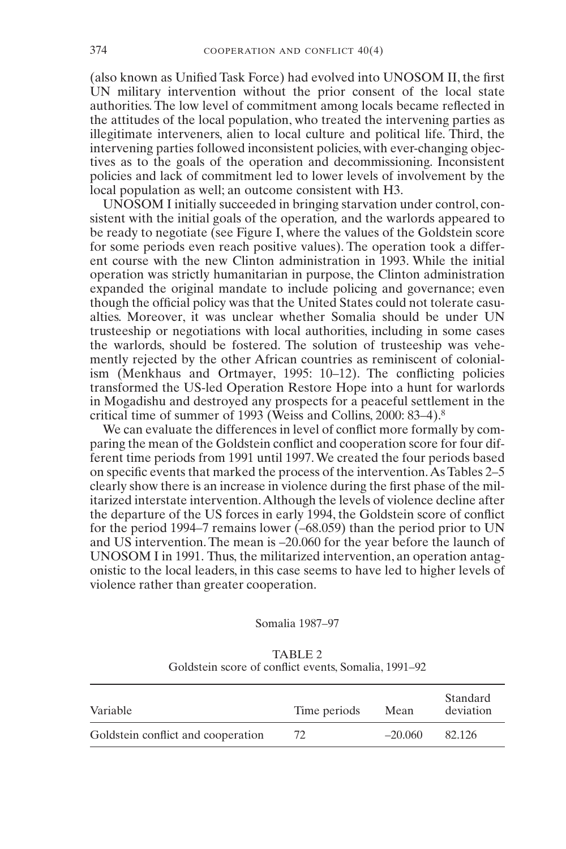(also known as Unified Task Force) had evolved into UNOSOM II, the first UN military intervention without the prior consent of the local state authorities. The low level of commitment among locals became reflected in the attitudes of the local population, who treated the intervening parties as illegitimate interveners, alien to local culture and political life. Third, the intervening parties followed inconsistent policies, with ever-changing objectives as to the goals of the operation and decommissioning. Inconsistent policies and lack of commitment led to lower levels of involvement by the local population as well; an outcome consistent with H3.

UNOSOM I initially succeeded in bringing starvation under control, consistent with the initial goals of the operation*,* and the warlords appeared to be ready to negotiate (see Figure I, where the values of the Goldstein score for some periods even reach positive values). The operation took a different course with the new Clinton administration in 1993. While the initial operation was strictly humanitarian in purpose, the Clinton administration expanded the original mandate to include policing and governance; even though the official policy was that the United States could not tolerate casualties. Moreover, it was unclear whether Somalia should be under UN trusteeship or negotiations with local authorities, including in some cases the warlords, should be fostered. The solution of trusteeship was vehemently rejected by the other African countries as reminiscent of colonialism (Menkhaus and Ortmayer, 1995: 10–12). The conflicting policies transformed the US-led Operation Restore Hope into a hunt for warlords in Mogadishu and destroyed any prospects for a peaceful settlement in the critical time of summer of 1993 (Weiss and Collins, 2000: 83–4).<sup>8</sup>

We can evaluate the differences in level of conflict more formally by comparing the mean of the Goldstein conflict and cooperation score for four different time periods from 1991 until 1997.We created the four periods based on specific events that marked the process of the intervention.As Tables 2–5 clearly show there is an increase in violence during the first phase of the militarized interstate intervention.Although the levels of violence decline after the departure of the US forces in early 1994, the Goldstein score of conflict for the period 1994–7 remains lower (–68.059) than the period prior to UN and US intervention. The mean is –20.060 for the year before the launch of UNOSOM I in 1991. Thus, the militarized intervention, an operation antagonistic to the local leaders, in this case seems to have led to higher levels of violence rather than greater cooperation.

#### Somalia 1987–97

|          | OURSICIII SCOTE OI COMMETE CYCHIS, SOMIAMA, 1771–72 |  |      |                       |
|----------|-----------------------------------------------------|--|------|-----------------------|
| Variable | Time periods                                        |  | Mean | Standard<br>deviation |

Goldstein conflict and cooperation  $72$   $-20.060$  82.126

TABLE 2 Goldstein score of conflict events, Somalia, 1991–92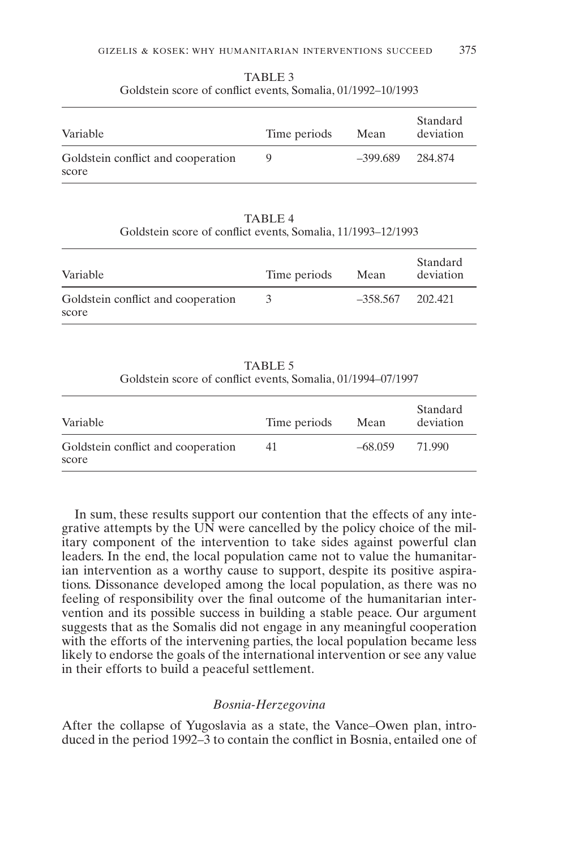| Variable                                    | Time periods | Mean     | Standard<br>deviation |
|---------------------------------------------|--------------|----------|-----------------------|
| Goldstein conflict and cooperation<br>score | Q            | -399.689 | 284.874               |

TABLE 3 Goldstein score of conflict events, Somalia, 01/1992–10/1993

TABLE 4 Goldstein score of conflict events, Somalia, 11/1993–12/1993

| Variable                                    | Time periods | Mean               | Standard<br>deviation |
|---------------------------------------------|--------------|--------------------|-----------------------|
| Goldstein conflict and cooperation<br>score | 3            | $-358.567$ 202.421 |                       |

TABLE 5 Goldstein score of conflict events, Somalia, 01/1994–07/1997

| Variable                                    | Time periods | Mean      | Standard<br>deviation |
|---------------------------------------------|--------------|-----------|-----------------------|
| Goldstein conflict and cooperation<br>score | 41           | $-68.059$ | 71.990                |

In sum, these results support our contention that the effects of any integrative attempts by the UN were cancelled by the policy choice of the military component of the intervention to take sides against powerful clan leaders. In the end, the local population came not to value the humanitarian intervention as a worthy cause to support, despite its positive aspirations. Dissonance developed among the local population, as there was no feeling of responsibility over the final outcome of the humanitarian intervention and its possible success in building a stable peace. Our argument suggests that as the Somalis did not engage in any meaningful cooperation with the efforts of the intervening parties, the local population became less likely to endorse the goals of the international intervention or see any value in their efforts to build a peaceful settlement.

#### *Bosnia-Herzegovina*

After the collapse of Yugoslavia as a state, the Vance–Owen plan, introduced in the period 1992–3 to contain the conflict in Bosnia, entailed one of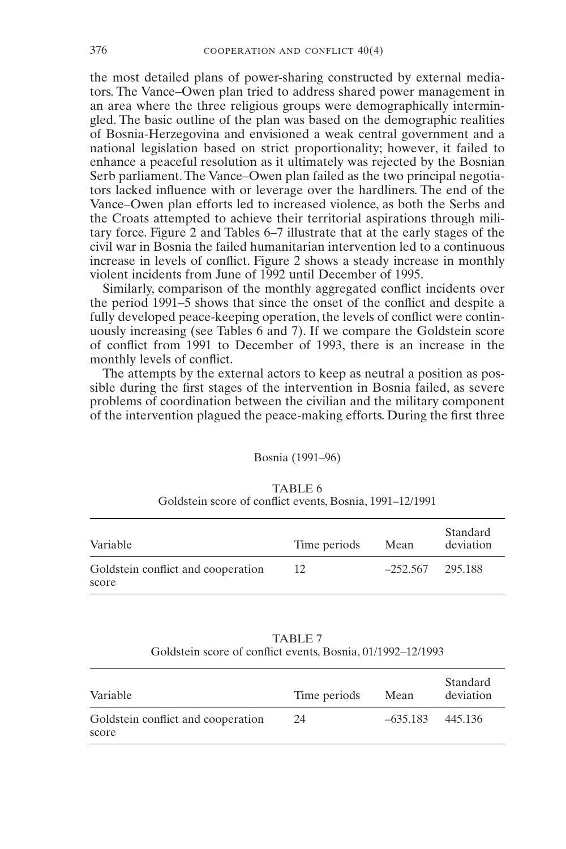the most detailed plans of power-sharing constructed by external mediators. The Vance–Owen plan tried to address shared power management in an area where the three religious groups were demographically intermingled. The basic outline of the plan was based on the demographic realities of Bosnia-Herzegovina and envisioned a weak central government and a national legislation based on strict proportionality; however, it failed to enhance a peaceful resolution as it ultimately was rejected by the Bosnian Serb parliament. The Vance–Owen plan failed as the two principal negotiators lacked influence with or leverage over the hardliners. The end of the Vance–Owen plan efforts led to increased violence, as both the Serbs and the Croats attempted to achieve their territorial aspirations through military force. Figure 2 and Tables 6–7 illustrate that at the early stages of the civil war in Bosnia the failed humanitarian intervention led to a continuous increase in levels of conflict. Figure 2 shows a steady increase in monthly violent incidents from June of 1992 until December of 1995.

Similarly, comparison of the monthly aggregated conflict incidents over the period 1991–5 shows that since the onset of the conflict and despite a fully developed peace-keeping operation, the levels of conflict were continuously increasing (see Tables 6 and 7). If we compare the Goldstein score of conflict from 1991 to December of 1993, there is an increase in the monthly levels of conflict.

The attempts by the external actors to keep as neutral a position as possible during the first stages of the intervention in Bosnia failed, as severe problems of coordination between the civilian and the military component of the intervention plagued the peace-making efforts. During the first three

#### Bosnia (1991–96)

| Variable                                    | Time periods | Mean               | Standard<br>deviation |
|---------------------------------------------|--------------|--------------------|-----------------------|
| Goldstein conflict and cooperation<br>score | 12           | $-252.567$ 295.188 |                       |

TABLE 6 Goldstein score of conflict events, Bosnia, 1991–12/1991

| TABLE 7                                                     |  |
|-------------------------------------------------------------|--|
| Goldstein score of conflict events, Bosnia, 01/1992–12/1993 |  |

| Variable                                    | Time periods | Mean               | Standard<br>deviation |
|---------------------------------------------|--------------|--------------------|-----------------------|
| Goldstein conflict and cooperation<br>score | 24           | $-635.183$ 445.136 |                       |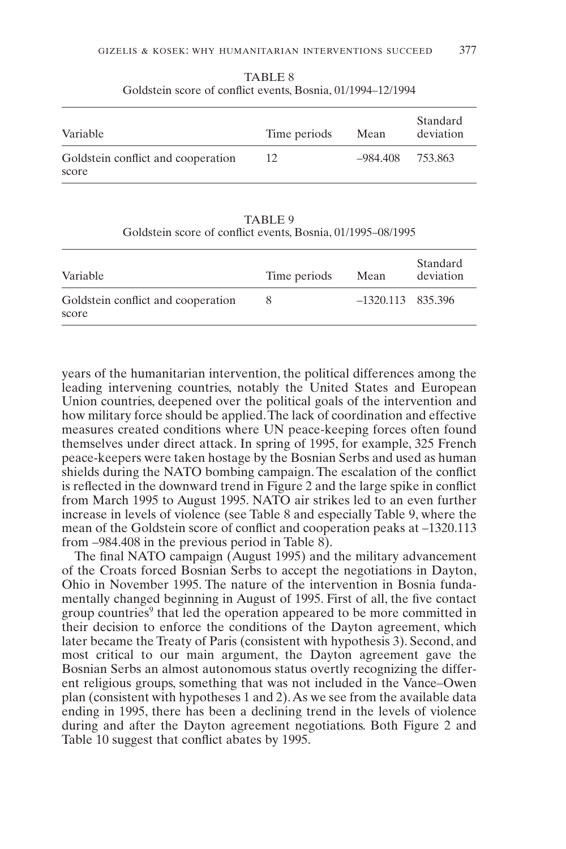| Variable                                    | Time periods | Mean     | Standard<br>deviation |
|---------------------------------------------|--------------|----------|-----------------------|
| Goldstein conflict and cooperation<br>score | 12           | -984.408 | 753.863               |

TABLE 8 Goldstein score of conflict events, Bosnia, 01/1994–12/1994

TABLE 9 Goldstein score of conflict events, Bosnia, 01/1995–08/1995

| Variable                                    | Time periods | Mean                | Standard<br>deviation |
|---------------------------------------------|--------------|---------------------|-----------------------|
| Goldstein conflict and cooperation<br>score | 8            | $-1320.113$ 835.396 |                       |

years of the humanitarian intervention, the political differences among the leading intervening countries, notably the United States and European Union countries, deepened over the political goals of the intervention and how military force should be applied.The lack of coordination and effective measures created conditions where UN peace-keeping forces often found themselves under direct attack. In spring of 1995, for example, 325 French peace-keepers were taken hostage by the Bosnian Serbs and used as human shields during the NATO bombing campaign. The escalation of the conflict is reflected in the downward trend in Figure 2 and the large spike in conflict from March 1995 to August 1995. NATO air strikes led to an even further increase in levels of violence (see Table 8 and especially Table 9, where the mean of the Goldstein score of conflict and cooperation peaks at –1320.113 from –984.408 in the previous period in Table 8).

The final NATO campaign (August 1995) and the military advancement of the Croats forced Bosnian Serbs to accept the negotiations in Dayton, Ohio in November 1995. The nature of the intervention in Bosnia fundamentally changed beginning in August of 1995. First of all, the five contact group countries<sup>9</sup> that led the operation appeared to be more committed in their decision to enforce the conditions of the Dayton agreement, which later became the Treaty of Paris (consistent with hypothesis 3). Second, and most critical to our main argument, the Dayton agreement gave the Bosnian Serbs an almost autonomous status overtly recognizing the different religious groups, something that was not included in the Vance–Owen plan (consistent with hypotheses 1 and 2).As we see from the available data ending in 1995, there has been a declining trend in the levels of violence during and after the Dayton agreement negotiations. Both Figure 2 and Table 10 suggest that conflict abates by 1995.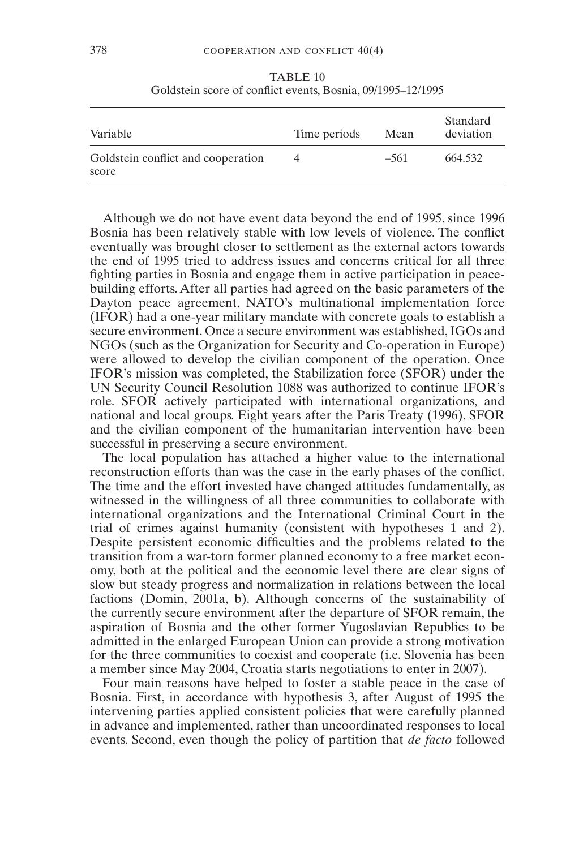| Variable                                    | Time periods | Mean   | Standard<br>deviation |
|---------------------------------------------|--------------|--------|-----------------------|
| Goldstein conflict and cooperation<br>score | 4            | $-561$ | 664.532               |

TABLE 10 Goldstein score of conflict events, Bosnia, 09/1995–12/1995

Although we do not have event data beyond the end of 1995, since 1996 Bosnia has been relatively stable with low levels of violence. The conflict eventually was brought closer to settlement as the external actors towards the end of 1995 tried to address issues and concerns critical for all three fighting parties in Bosnia and engage them in active participation in peacebuilding efforts. After all parties had agreed on the basic parameters of the Dayton peace agreement, NATO's multinational implementation force (IFOR) had a one-year military mandate with concrete goals to establish a secure environment. Once a secure environment was established, IGOs and NGOs (such as the Organization for Security and Co-operation in Europe) were allowed to develop the civilian component of the operation. Once IFOR's mission was completed, the Stabilization force (SFOR) under the UN Security Council Resolution 1088 was authorized to continue IFOR's role. SFOR actively participated with international organizations, and national and local groups. Eight years after the Paris Treaty (1996), SFOR and the civilian component of the humanitarian intervention have been successful in preserving a secure environment.

The local population has attached a higher value to the international reconstruction efforts than was the case in the early phases of the conflict. The time and the effort invested have changed attitudes fundamentally, as witnessed in the willingness of all three communities to collaborate with international organizations and the International Criminal Court in the trial of crimes against humanity (consistent with hypotheses 1 and 2). Despite persistent economic difficulties and the problems related to the transition from a war-torn former planned economy to a free market economy, both at the political and the economic level there are clear signs of slow but steady progress and normalization in relations between the local factions (Domin, 2001a, b). Although concerns of the sustainability of the currently secure environment after the departure of SFOR remain, the aspiration of Bosnia and the other former Yugoslavian Republics to be admitted in the enlarged European Union can provide a strong motivation for the three communities to coexist and cooperate (i.e. Slovenia has been a member since May 2004, Croatia starts negotiations to enter in 2007).

Four main reasons have helped to foster a stable peace in the case of Bosnia. First, in accordance with hypothesis 3, after August of 1995 the intervening parties applied consistent policies that were carefully planned in advance and implemented, rather than uncoordinated responses to local events. Second, even though the policy of partition that *de facto* followed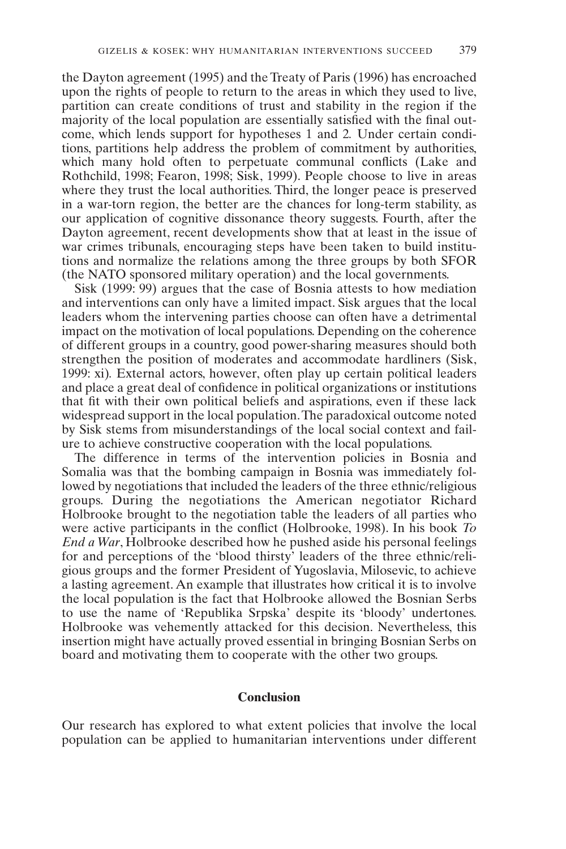the Dayton agreement (1995) and the Treaty of Paris (1996) has encroached upon the rights of people to return to the areas in which they used to live, partition can create conditions of trust and stability in the region if the majority of the local population are essentially satisfied with the final outcome, which lends support for hypotheses 1 and 2*.* Under certain conditions, partitions help address the problem of commitment by authorities, which many hold often to perpetuate communal conflicts (Lake and Rothchild, 1998; Fearon, 1998; Sisk, 1999). People choose to live in areas where they trust the local authorities. Third, the longer peace is preserved in a war-torn region, the better are the chances for long-term stability, as our application of cognitive dissonance theory suggests. Fourth, after the Dayton agreement, recent developments show that at least in the issue of war crimes tribunals, encouraging steps have been taken to build institutions and normalize the relations among the three groups by both SFOR (the NATO sponsored military operation) and the local governments.

Sisk (1999: 99) argues that the case of Bosnia attests to how mediation and interventions can only have a limited impact. Sisk argues that the local leaders whom the intervening parties choose can often have a detrimental impact on the motivation of local populations. Depending on the coherence of different groups in a country, good power-sharing measures should both strengthen the position of moderates and accommodate hardliners (Sisk, 1999: xi)*.* External actors, however, often play up certain political leaders and place a great deal of confidence in political organizations or institutions that fit with their own political beliefs and aspirations, even if these lack widespread support in the local population.The paradoxical outcome noted by Sisk stems from misunderstandings of the local social context and failure to achieve constructive cooperation with the local populations.

The difference in terms of the intervention policies in Bosnia and Somalia was that the bombing campaign in Bosnia was immediately followed by negotiations that included the leaders of the three ethnic/religious groups. During the negotiations the American negotiator Richard Holbrooke brought to the negotiation table the leaders of all parties who were active participants in the conflict (Holbrooke, 1998). In his book *To End a War*, Holbrooke described how he pushed aside his personal feelings for and perceptions of the 'blood thirsty' leaders of the three ethnic/religious groups and the former President of Yugoslavia, Milosevic, to achieve a lasting agreement. An example that illustrates how critical it is to involve the local population is the fact that Holbrooke allowed the Bosnian Serbs to use the name of 'Republika Srpska' despite its 'bloody' undertones. Holbrooke was vehemently attacked for this decision. Nevertheless, this insertion might have actually proved essential in bringing Bosnian Serbs on board and motivating them to cooperate with the other two groups.

#### **Conclusion**

Our research has explored to what extent policies that involve the local population can be applied to humanitarian interventions under different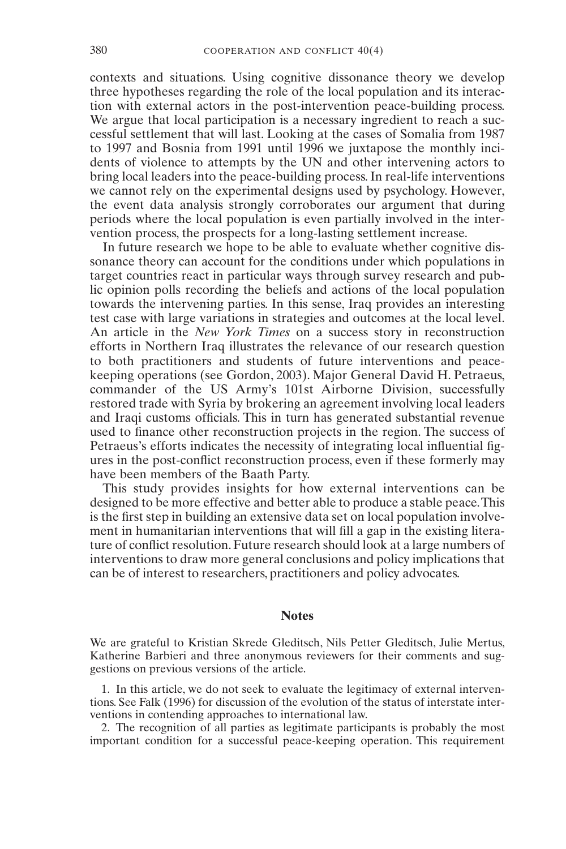contexts and situations. Using cognitive dissonance theory we develop three hypotheses regarding the role of the local population and its interaction with external actors in the post-intervention peace-building process. We argue that local participation is a necessary ingredient to reach a successful settlement that will last. Looking at the cases of Somalia from 1987 to 1997 and Bosnia from 1991 until 1996 we juxtapose the monthly incidents of violence to attempts by the UN and other intervening actors to bring local leaders into the peace-building process. In real-life interventions we cannot rely on the experimental designs used by psychology. However, the event data analysis strongly corroborates our argument that during periods where the local population is even partially involved in the intervention process, the prospects for a long-lasting settlement increase.

In future research we hope to be able to evaluate whether cognitive dissonance theory can account for the conditions under which populations in target countries react in particular ways through survey research and public opinion polls recording the beliefs and actions of the local population towards the intervening parties. In this sense, Iraq provides an interesting test case with large variations in strategies and outcomes at the local level. An article in the *New York Times* on a success story in reconstruction efforts in Northern Iraq illustrates the relevance of our research question to both practitioners and students of future interventions and peacekeeping operations (see Gordon, 2003). Major General David H. Petraeus, commander of the US Army's 101st Airborne Division, successfully restored trade with Syria by brokering an agreement involving local leaders and Iraqi customs officials. This in turn has generated substantial revenue used to finance other reconstruction projects in the region. The success of Petraeus's efforts indicates the necessity of integrating local influential figures in the post-conflict reconstruction process, even if these formerly may have been members of the Baath Party.

This study provides insights for how external interventions can be designed to be more effective and better able to produce a stable peace.This is the first step in building an extensive data set on local population involvement in humanitarian interventions that will fill a gap in the existing literature of conflict resolution. Future research should look at a large numbers of interventions to draw more general conclusions and policy implications that can be of interest to researchers, practitioners and policy advocates.

#### **Notes**

We are grateful to Kristian Skrede Gleditsch, Nils Petter Gleditsch, Julie Mertus, Katherine Barbieri and three anonymous reviewers for their comments and suggestions on previous versions of the article.

1. In this article, we do not seek to evaluate the legitimacy of external interventions. See Falk (1996) for discussion of the evolution of the status of interstate interventions in contending approaches to international law.

2. The recognition of all parties as legitimate participants is probably the most important condition for a successful peace-keeping operation. This requirement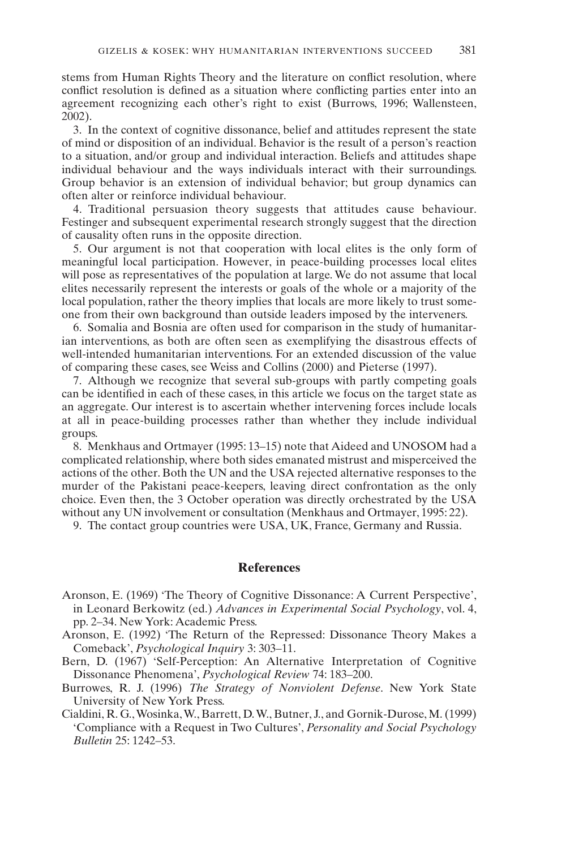stems from Human Rights Theory and the literature on conflict resolution, where conflict resolution is defined as a situation where conflicting parties enter into an agreement recognizing each other's right to exist (Burrows, 1996; Wallensteen, 2002).

3. In the context of cognitive dissonance, belief and attitudes represent the state of mind or disposition of an individual. Behavior is the result of a person's reaction to a situation, and/or group and individual interaction. Beliefs and attitudes shape individual behaviour and the ways individuals interact with their surroundings. Group behavior is an extension of individual behavior; but group dynamics can often alter or reinforce individual behaviour.

4. Traditional persuasion theory suggests that attitudes cause behaviour. Festinger and subsequent experimental research strongly suggest that the direction of causality often runs in the opposite direction.

5. Our argument is not that cooperation with local elites is the only form of meaningful local participation. However, in peace-building processes local elites will pose as representatives of the population at large. We do not assume that local elites necessarily represent the interests or goals of the whole or a majority of the local population, rather the theory implies that locals are more likely to trust someone from their own background than outside leaders imposed by the interveners.

6. Somalia and Bosnia are often used for comparison in the study of humanitarian interventions, as both are often seen as exemplifying the disastrous effects of well-intended humanitarian interventions. For an extended discussion of the value of comparing these cases, see Weiss and Collins (2000) and Pieterse (1997).

7. Although we recognize that several sub-groups with partly competing goals can be identified in each of these cases, in this article we focus on the target state as an aggregate. Our interest is to ascertain whether intervening forces include locals at all in peace-building processes rather than whether they include individual groups.

8. Menkhaus and Ortmayer (1995: 13–15) note that Aideed and UNOSOM had a complicated relationship, where both sides emanated mistrust and misperceived the actions of the other. Both the UN and the USA rejected alternative responses to the murder of the Pakistani peace-keepers, leaving direct confrontation as the only choice. Even then, the 3 October operation was directly orchestrated by the USA without any UN involvement or consultation (Menkhaus and Ortmayer, 1995: 22).

9. The contact group countries were USA, UK, France, Germany and Russia.

#### **References**

- Aronson, E. (1969) 'The Theory of Cognitive Dissonance: A Current Perspective', in Leonard Berkowitz (ed.) *Advances in Experimental Social Psychology*, vol. 4, pp. 2–34. New York: Academic Press.
- Aronson, E. (1992) 'The Return of the Repressed: Dissonance Theory Makes a Comeback', *Psychological Inquiry* 3: 303–11.
- Bern, D. (1967) 'Self-Perception: An Alternative Interpretation of Cognitive Dissonance Phenomena', *Psychological Review* 74: 183–200.
- Burrowes, R. J. (1996) *The Strategy of Nonviolent Defense*. New York State University of New York Press.
- Cialdini, R. G.,Wosinka,W., Barrett, D.W., Butner, J., and Gornik-Durose, M. (1999) 'Compliance with a Request in Two Cultures', *Personality and Social Psychology Bulletin* 25: 1242–53.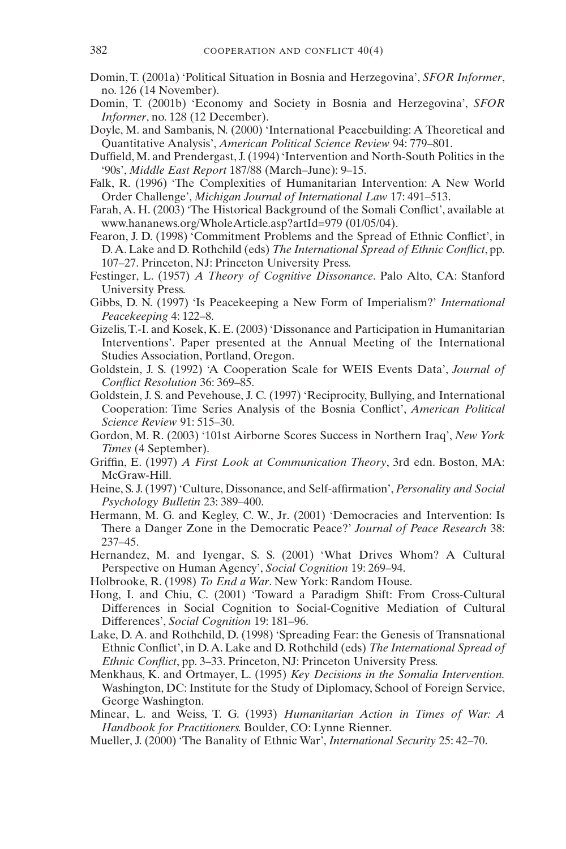- Domin, T. (2001a) 'Political Situation in Bosnia and Herzegovina', *SFOR Informer*, no. 126 (14 November).
- Domin, T. (2001b) 'Economy and Society in Bosnia and Herzegovina', *SFOR Informer*, no. 128 (12 December).
- Doyle, M. and Sambanis, N. (2000) 'International Peacebuilding: A Theoretical and Quantitative Analysis', *American Political Science Review* 94: 779–801.
- Duffield, M. and Prendergast, J. (1994) 'Intervention and North-South Politics in the '90s', *Middle East Report* 187/88 (March–June): 9–15.
- Falk, R. (1996) 'The Complexities of Humanitarian Intervention: A New World Order Challenge', *Michigan Journal of International Law* 17: 491–513.
- Farah, A. H. (2003) 'The Historical Background of the Somali Conflict', available at www.hananews.org/WholeArticle.asp?artId=979 (01/05/04).
- Fearon, J. D. (1998) 'Commitment Problems and the Spread of Ethnic Conflict', in D.A.Lake and D. Rothchild (eds) *The International Spread of Ethnic Conflict*, pp. 107–27. Princeton, NJ: Princeton University Press.
- Festinger, L. (1957) *A Theory of Cognitive Dissonance*. Palo Alto, CA: Stanford University Press.
- Gibbs, D. N. (1997) 'Is Peacekeeping a New Form of Imperialism?' *International Peacekeeping* 4: 122–8.
- Gizelis, T.-I. and Kosek, K. E. (2003) 'Dissonance and Participation in Humanitarian Interventions'. Paper presented at the Annual Meeting of the International Studies Association, Portland, Oregon.
- Goldstein, J. S. (1992) 'A Cooperation Scale for WEIS Events Data', *Journal of Conflict Resolution* 36: 369–85.
- Goldstein, J. S. and Pevehouse, J. C. (1997) 'Reciprocity, Bullying, and International Cooperation: Time Series Analysis of the Bosnia Conflict', *American Political Science Review* 91: 515–30.
- Gordon, M. R. (2003) '101st Airborne Scores Success in Northern Iraq', *New York Times* (4 September).
- Griffin, E. (1997) *A First Look at Communication Theory*, 3rd edn. Boston, MA: McGraw-Hill.
- Heine, S. J. (1997) 'Culture, Dissonance, and Self-affirmation', *Personality and Social Psychology Bulletin* 23: 389–400.
- Hermann, M. G. and Kegley, C. W., Jr. (2001) 'Democracies and Intervention: Is There a Danger Zone in the Democratic Peace?' *Journal of Peace Research* 38: 237–45.
- Hernandez, M. and Iyengar, S. S. (2001) 'What Drives Whom? A Cultural Perspective on Human Agency', *Social Cognition* 19: 269–94.
- Holbrooke, R. (1998) *To End a War*. New York: Random House.
- Hong, I. and Chiu, C. (2001) 'Toward a Paradigm Shift: From Cross-Cultural Differences in Social Cognition to Social-Cognitive Mediation of Cultural Differences', *Social Cognition* 19: 181–96.
- Lake, D. A. and Rothchild, D. (1998) 'Spreading Fear: the Genesis of Transnational Ethnic Conflict', in D.A. Lake and D. Rothchild (eds) *The International Spread of Ethnic Conflict*, pp. 3–33. Princeton, NJ: Princeton University Press.
- Menkhaus, K. and Ortmayer, L. (1995) *Key Decisions in the Somalia Intervention.* Washington, DC: Institute for the Study of Diplomacy, School of Foreign Service, George Washington.
- Minear, L. and Weiss, T. G. (1993) *Humanitarian Action in Times of War: A Handbook for Practitioners.* Boulder, CO: Lynne Rienner.
- Mueller, J. (2000) 'The Banality of Ethnic War', *International Security* 25: 42–70.